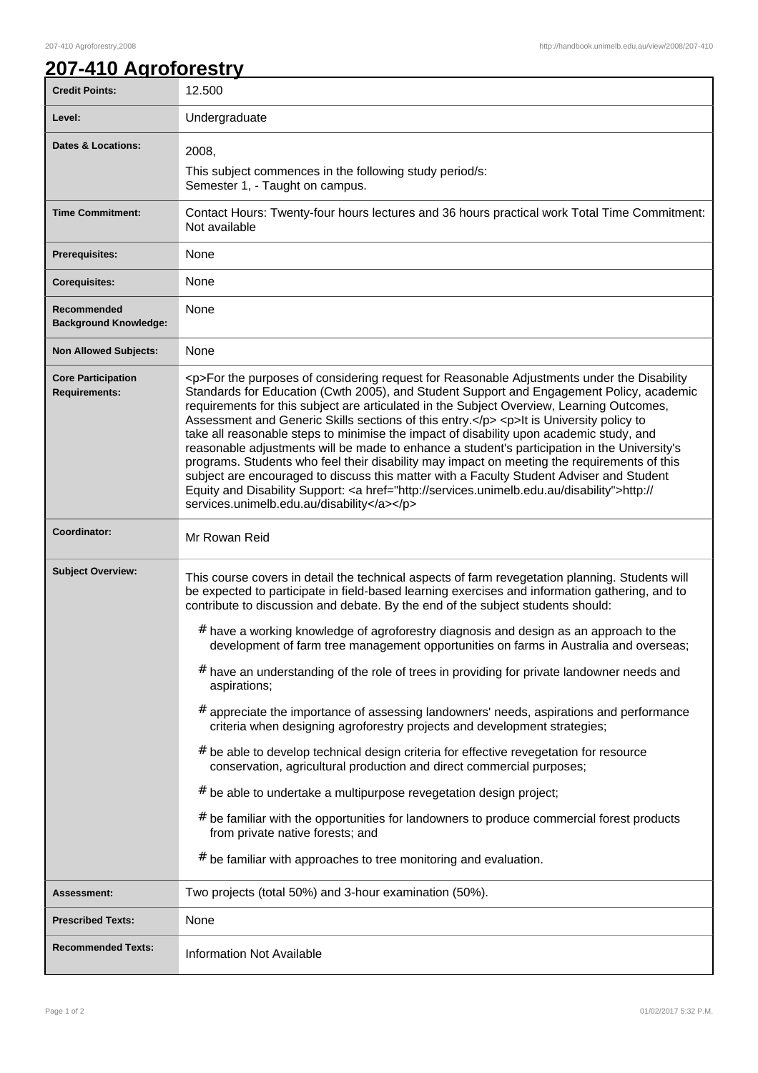## **207-410 Agroforestry**

| <b>Credit Points:</b>                             | 12.500                                                                                                                                                                                                                                                                                                                                                                                                                                                                                                                                                                                                                                                                                                                                                                                                                                                                                                                    |
|---------------------------------------------------|---------------------------------------------------------------------------------------------------------------------------------------------------------------------------------------------------------------------------------------------------------------------------------------------------------------------------------------------------------------------------------------------------------------------------------------------------------------------------------------------------------------------------------------------------------------------------------------------------------------------------------------------------------------------------------------------------------------------------------------------------------------------------------------------------------------------------------------------------------------------------------------------------------------------------|
| Level:                                            | Undergraduate                                                                                                                                                                                                                                                                                                                                                                                                                                                                                                                                                                                                                                                                                                                                                                                                                                                                                                             |
| <b>Dates &amp; Locations:</b>                     | 2008,<br>This subject commences in the following study period/s:<br>Semester 1, - Taught on campus.                                                                                                                                                                                                                                                                                                                                                                                                                                                                                                                                                                                                                                                                                                                                                                                                                       |
| <b>Time Commitment:</b>                           | Contact Hours: Twenty-four hours lectures and 36 hours practical work Total Time Commitment:<br>Not available                                                                                                                                                                                                                                                                                                                                                                                                                                                                                                                                                                                                                                                                                                                                                                                                             |
| <b>Prerequisites:</b>                             | None                                                                                                                                                                                                                                                                                                                                                                                                                                                                                                                                                                                                                                                                                                                                                                                                                                                                                                                      |
| <b>Corequisites:</b>                              | None                                                                                                                                                                                                                                                                                                                                                                                                                                                                                                                                                                                                                                                                                                                                                                                                                                                                                                                      |
| Recommended<br><b>Background Knowledge:</b>       | None                                                                                                                                                                                                                                                                                                                                                                                                                                                                                                                                                                                                                                                                                                                                                                                                                                                                                                                      |
| <b>Non Allowed Subjects:</b>                      | None                                                                                                                                                                                                                                                                                                                                                                                                                                                                                                                                                                                                                                                                                                                                                                                                                                                                                                                      |
| <b>Core Participation</b><br><b>Requirements:</b> | <p>For the purposes of considering request for Reasonable Adjustments under the Disability<br/>Standards for Education (Cwth 2005), and Student Support and Engagement Policy, academic<br/>requirements for this subject are articulated in the Subject Overview, Learning Outcomes,<br/>Assessment and Generic Skills sections of this entry.</p> <p>It is University policy to<br/>take all reasonable steps to minimise the impact of disability upon academic study, and<br/>reasonable adjustments will be made to enhance a student's participation in the University's<br/>programs. Students who feel their disability may impact on meeting the requirements of this<br/>subject are encouraged to discuss this matter with a Faculty Student Adviser and Student<br/>Equity and Disability Support: <a href="http://services.unimelb.edu.au/disability">http://<br/>services.unimelb.edu.au/disability</a></p> |
| Coordinator:                                      | Mr Rowan Reid                                                                                                                                                                                                                                                                                                                                                                                                                                                                                                                                                                                                                                                                                                                                                                                                                                                                                                             |
| <b>Subject Overview:</b>                          | This course covers in detail the technical aspects of farm revegetation planning. Students will<br>be expected to participate in field-based learning exercises and information gathering, and to<br>contribute to discussion and debate. By the end of the subject students should:<br># have a working knowledge of agroforestry diagnosis and design as an approach to the<br>development of farm tree management opportunities on farms in Australia and overseas;<br># have an understanding of the role of trees in providing for private landowner needs and                                                                                                                                                                                                                                                                                                                                                       |
|                                                   | aspirations;<br>#<br>appreciate the importance of assessing landowners' needs, aspirations and performance<br>criteria when designing agroforestry projects and development strategies;<br>be able to develop technical design criteria for effective revegetation for resource<br>#<br>conservation, agricultural production and direct commercial purposes;<br>$#$ be able to undertake a multipurpose revegetation design project;<br># be familiar with the opportunities for landowners to produce commercial forest products<br>from private native forests; and<br># be familiar with approaches to tree monitoring and evaluation.                                                                                                                                                                                                                                                                                |
| <b>Assessment:</b>                                | Two projects (total 50%) and 3-hour examination (50%).                                                                                                                                                                                                                                                                                                                                                                                                                                                                                                                                                                                                                                                                                                                                                                                                                                                                    |
| <b>Prescribed Texts:</b>                          | None                                                                                                                                                                                                                                                                                                                                                                                                                                                                                                                                                                                                                                                                                                                                                                                                                                                                                                                      |
| <b>Recommended Texts:</b>                         | Information Not Available                                                                                                                                                                                                                                                                                                                                                                                                                                                                                                                                                                                                                                                                                                                                                                                                                                                                                                 |